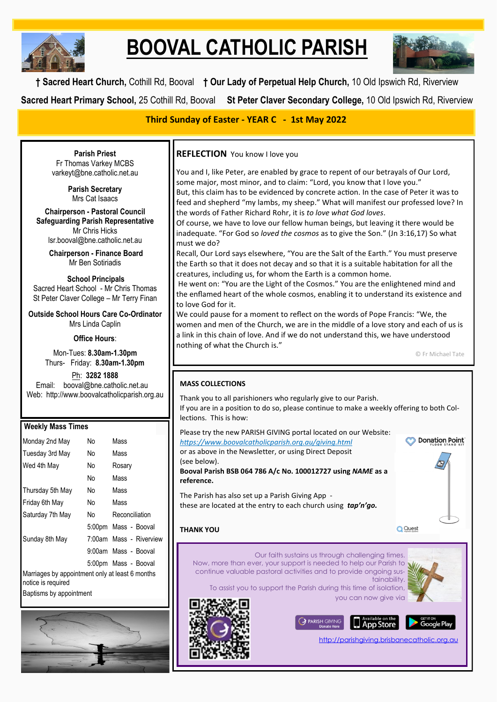

# **BOOVAL CATHOLIC PARISH**



**† Sacred Heart Church,** Cothill Rd, Booval **† Our Lady of Perpetual Help Church,** 10 Old Ipswich Rd, Riverview **Sacred Heart Primary School,** 25 Cothill Rd, Booval **St Peter Claver Secondary College,** 10 Old Ipswich Rd, Riverview

**Third Sunday of Easter - YEAR C - 1st May 2022**

**Parish Priest** Fr Thomas Varkey MCBS varkeyt@bne.catholic.net.au

> **Parish Secretary** Mrs Cat Isaacs

**Chairperson - Pastoral Council Safeguarding Parish Representative** Mr Chris Hicks [lsr.booval@bne.catholic.net.au](mailto:lsr.booval@bne.catholi.net.au)

> **Chairperson - Finance Board** Mr Ben Sotiriadis

**School Principals** Sacred Heart School - Mr Chris Thomas St Peter Claver College – Mr Terry Finan

**Outside School Hours Care Co-Ordinator** Mrs Linda Caplin

**Office Hours**:

Mon-Tues: **8.30am-1.30pm** Thurs- Friday: **8.30am-1.30pm**

Ph: **3282 1888**  Email: booval@bne.catholic.net.au Web: http://www.boovalcatholicparish.org.au

# **Weekly Mass Times** Monday 2nd May No Mass Tuesday 3rd May No Mass Wed 4th May No Rosary No Mass Thursday 5th May No Mass Friday 6th May No Mass Saturday 7th May No Reconciliation 5:00pm Mass - Booval Sunday 8th May 7:00am Mass - Riverview 9:00am Mass - Booval 5:00pm Mass - Booval Marriages by appointment only at least 6 months

notice is required

Baptisms by appointment



**REFLECTION** You know I love you

You and I, like Peter, are enabled by grace to repent of our betrayals of Our Lord, some major, most minor, and to claim: "Lord, you know that I love you." But, this claim has to be evidenced by concrete action. In the case of Peter it was to

feed and shepherd "my lambs, my sheep." What will manifest our professed love? In the words of Father Richard Rohr, it is *to love what God loves*.

Of course, we have to love our fellow human beings, but leaving it there would be inadequate. "For God so *loved the cosmos* as to give the Son." (Jn 3:16,17) So what must we do?

Recall, Our Lord says elsewhere, "You are the Salt of the Earth." You must preserve the Earth so that it does not decay and so that it is a suitable habitation for all the creatures, including us, for whom the Earth is a common home.

He went on: "You are the Light of the Cosmos." You are the enlightened mind and the enflamed heart of the whole cosmos, enabling it to understand its existence and to love God for it.

We could pause for a moment to reflect on the words of Pope Francis: "We, the women and men of the Church, we are in the middle of a love story and each of us is a link in this chain of love. And if we do not understand this, we have understood nothing of what the Church is."

© Fr Michael Tate

# **MASS COLLECTIONS**

Thank you to all parishioners who regularly give to our Parish. If you are in a position to do so, please continue to make a weekly offering to both Collections. This is how:

Please try the new PARISH GIVING portal located on our Website: **S** Donation Point *<https://www.boovalcatholicparish.org.au/giving.html>* or as above in the Newsletter, or using Direct Deposit (see below). **Booval Parish BSB 064 786 A/c No. 100012727 using** *NAME* **as a reference.** The Parish has also set up a Parish Giving App these are located at the entry to each church using *tap'n'go.* **THANK YOUQ** Quest Our faith sustains us through challenging times. Now, more than ever, your support is needed to help our Parish to continue valuable pastoral activities and to provide ongoing sustainability. To assist you to support the Parish during this time of isolation, you can now give via **FARISH GIVING**  $\Box$  App Store Google Play <http://parishgiving.brisbanecatholic.org.au>